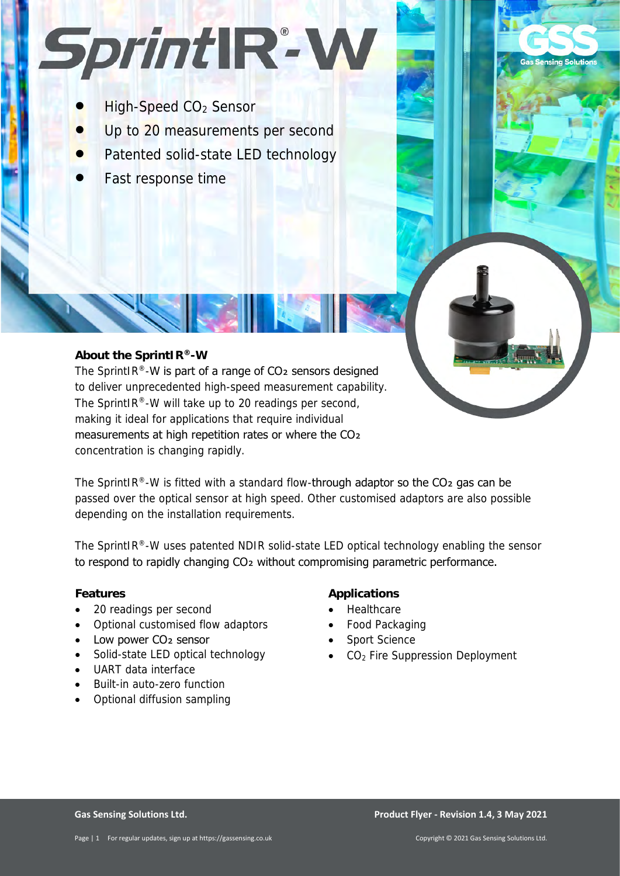# Sprint IR-W

- High-Speed CO2 Sensor
- Up to 20 measurements per second
- Patented solid-state LED technology
- Fast response time

# **About the SprintIR®-W**

The SprintIR®-W is part of a range of  $CO<sub>2</sub>$  sensors designed to deliver unprecedented high-speed measurement capability. The SprintIR®-W will take up to 20 readings per second, making it ideal for applications that require individual measurements at high repetition rates or where the CO2 concentration is changing rapidly.

The SprintIR®-W is fitted with a standard flow-through adaptor so the  $CO<sub>2</sub>$  gas can be passed over the optical sensor at high speed. Other customised adaptors are also possible depending on the installation requirements.

The SprintIR®-W uses patented NDIR solid-state LED optical technology enabling the sensor to respond to rapidly changing CO2 without compromising parametric performance.

## **Features**

- 20 readings per second
- Optional customised flow adaptors
- Low power CO<sub>2</sub> sensor
- Solid-state LED optical technology
- UART data interface
- Built-in auto-zero function
- Optional diffusion sampling

# **Applications**

- Healthcare
- Food Packaging
- Sport Science
- CO<sub>2</sub> Fire Suppression Deployment